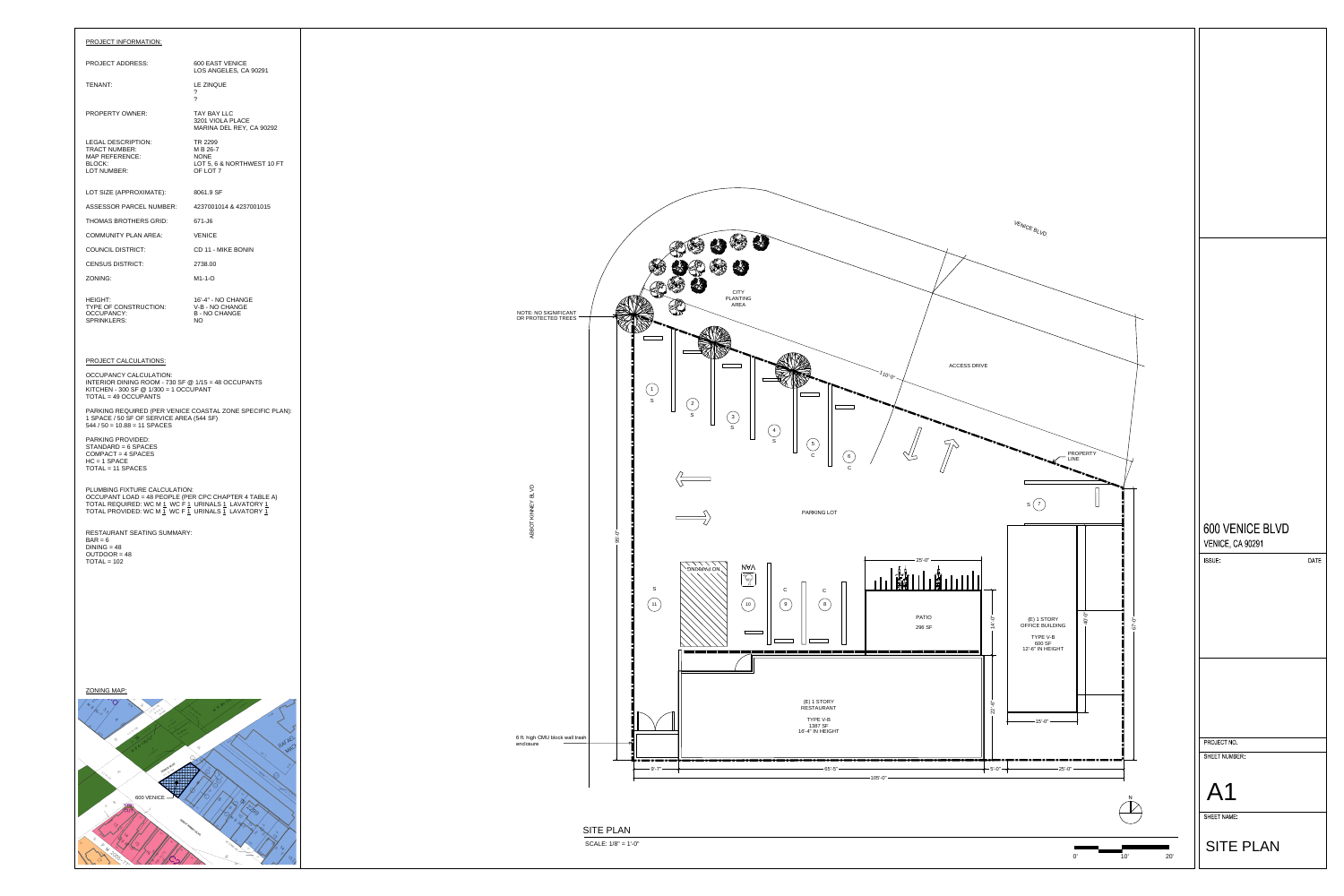# PROJECT INFORMATION:

### PROJECT ADDRESS:

TENANT:

PROPERTY OWNER:

LEGAL DESCRIPTION: TRACT NUMBER: MAP REFERENCE: BLOCK: LOT NUMBER:

LOT SIZE (APPROXIMATE):

ASSESSOR PARCEL NUMBER:

THOMAS BROTHERS GRID:



COMMUNITY PLAN AREA:

COUNCIL DISTRICT:

CENSUS DISTRICT:

PARKING REQUIRED (PER VENICE COASTAL ZONE SPECIFIC PLAN): 1 SPACE / 50 SF OF SERVICE AREA (544 SF)  $544 / 50 = 10.88 = 11$  SPACES

ZONING:

HEIGHT: TYPE OF CONSTRUCTION: OCCUPANCY: SPRINKLERS:

600 EAST VENICE

LOS ANGELES, CA 90291

### PLUMBING FIXTURE CALCULATION: OCCUPANT LOAD = 48 PEOPLE (PER CPC CHAPTER 4 TABLE A) TOTAL REQUIRED: WC M <u>1</u> WC F <u>1</u> URINALS <u>1</u> LAVATORY <u>1</u>

LE ZINQUE

TOTAL PROVIDED: WC M  $\overline{1}$  WC F  $\overline{1}$  URINALS  $\overline{1}$  LAVATORY  $\overline{1}$ 

? ?

TAY BAY LLC

3201 VIOLA PLACE

MARINA DEL REY, CA 90292

TR 2299 M B 26-7 NONE

RESTAURANT SEATING SUMMARY:  $BAR = 6$ 

 $DINING = 48$  $OUTDOOR = 48$  $TOTAL = 102$ 

LOT 5, 6 & NORTHWEST 10 FT

OF LOT 7

8061.9 SF

4237001014 & 4237001015

671-J6

VENICE

CD 11 - MIKE BONIN

2738.00

M1-1-O

16'-4" - NO CHANGE V-B - NO CHANGE B - NO CHANGE NO

## PROJECT CALCULATIONS:

OCCUPANCY CALCULATION: INTERIOR DINING ROOM - 730 SF @ 1/15 = 48 OCCUPANTS KITCHEN - 300 SF @ 1/300 = 1 OCCUPANT TOTAL = 49 OCCUPANTS

PARKING PROVIDED: STANDARD = 6 SPACES COMPACT = 4 SPACES HC = 1 SPACE TOTAL = 11 SPACES

ZONING MAP: